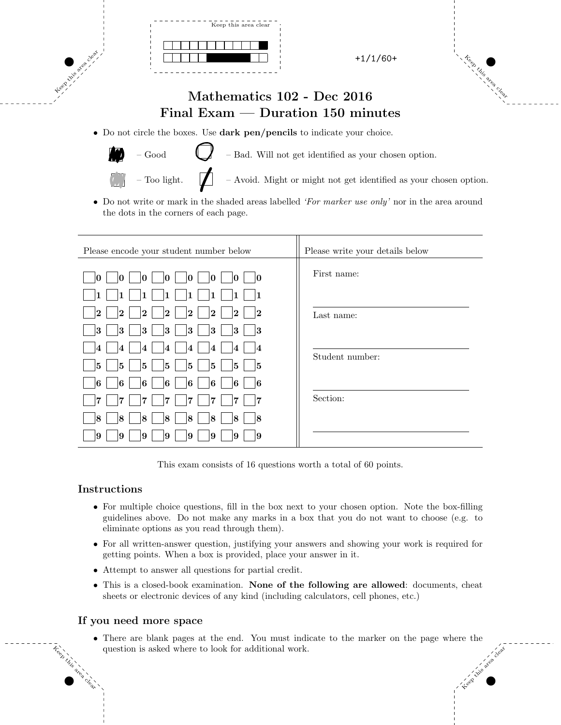



## Mathematics 102 - Dec 2016 Final Exam — Duration 150 minutes

• Do not circle the boxes. Use dark pen/pencils to indicate your choice.



Keep this area clear.

 $-\text{Good}$  – Bad. Will not get identified as your chosen option.

– Too light.  $\Box$  – Avoid. Might or might not get identified as your chosen option.

*•* Do not write or mark in the shaded areas labelled *'For marker use only'* nor in the area around the dots in the corners of each page.

| Please encode your student number below                                                                                  | Please write your details below |
|--------------------------------------------------------------------------------------------------------------------------|---------------------------------|
| 10<br>0<br>10<br>10<br>0<br>10<br>M                                                                                      | First name:                     |
| 1<br>1<br>1                                                                                                              |                                 |
| 2 <br>$\overline{\mathbf{2}}$<br> 2 <br>$ 2\rangle$<br>$\overline{2}$<br> 2<br>$\overline{\mathbf{2}}$<br>$\overline{2}$ | Last name:                      |
| 3<br>3<br>3<br> 3<br>3<br> 3<br>3<br> 3                                                                                  |                                 |
| 4<br>$\overline{\mathbf{4}}$<br>$\overline{4}$<br>4<br>14<br>4<br>4<br>14                                                | Student number:                 |
| 5<br>5<br>5<br>5<br>5<br>5<br>15<br>5                                                                                    |                                 |
| 16<br>6<br>6<br>6<br>16<br>6<br>6<br>-16                                                                                 |                                 |
| 7<br>7<br>7<br>17<br>7<br>7<br>7                                                                                         | Section:                        |
| 18<br> 8 <br> 8 <br>18<br>18<br>18<br>18<br>8                                                                            |                                 |
| 9<br>19<br> 9<br>9<br>9<br>19<br>9<br>9                                                                                  |                                 |

This exam consists of 16 questions worth a total of 60 points.

### Instructions

Keep this

area clear.

- For multiple choice questions, fill in the box next to your chosen option. Note the box-filling guidelines above. Do not make any marks in a box that you do not want to choose (e.g. to eliminate options as you read through them).
- For all written-answer question, justifying your answers and showing your work is required for getting points. When a box is provided, place your answer in it.
- Attempt to answer all questions for partial credit.
- This is a closed-book examination. None of the following are allowed: documents, cheat sheets or electronic devices of any kind (including calculators, cell phones, etc.)

#### If you need more space

Keep this area clear *•* There are blank pages at the end. You must indicate to the marker on the page where the question is asked where to look for additional work.

 $\mathcal{L}_{\mathcal{C}}(y)$  yields the set of the set of the set of the set of the set of the set of the set of the set of the set of the set of the set of the set of the set of the set of the set of the set of the set of the set o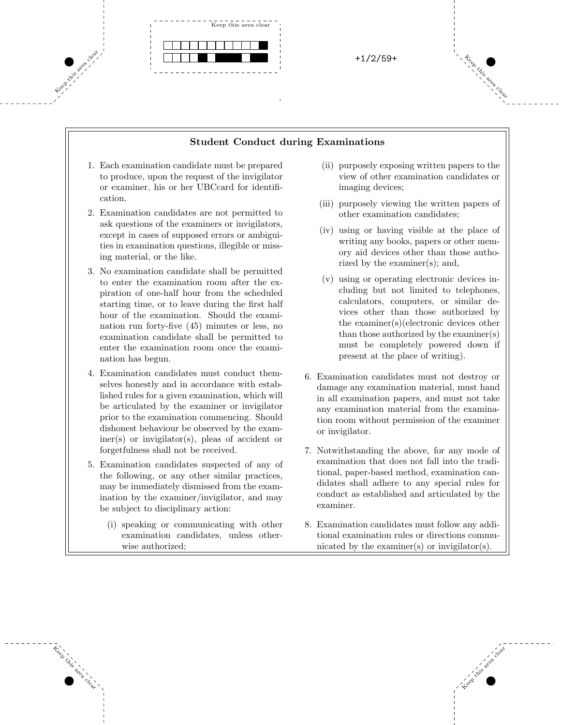

#### Student Conduct during Examinations

 $\mathcal{L}_{\mathcal{C}}(y)$  yields the set of the set of the set of the set of the set of the set of the set of the set of the set of the set of the set of the set of the set of the set of the set of the set of the set of the set o

- 1. Each examination candidate must be prepared to produce, upon the request of the invigilator or examiner, his or her UBCcard for identification.
- 2. Examination candidates are not permitted to ask questions of the examiners or invigilators, except in cases of supposed errors or ambiguities in examination questions, illegible or missing material, or the like.
- 3. No examination candidate shall be permitted to enter the examination room after the expiration of one-half hour from the scheduled starting time, or to leave during the first half hour of the examination. Should the examination run forty-five (45) minutes or less, no examination candidate shall be permitted to enter the examination room once the examination has begun.
- 4. Examination candidates must conduct themselves honestly and in accordance with established rules for a given examination, which will be articulated by the examiner or invigilator prior to the examination commencing. Should dishonest behaviour be observed by the examiner(s) or invigilator(s), pleas of accident or forgetfulness shall not be received.
- 5. Examination candidates suspected of any of the following, or any other similar practices, may be immediately dismissed from the examination by the examiner/invigilator, and may be subject to disciplinary action:
	- (i) speaking or communicating with other examination candidates, unless otherwise authorized;

Keep this

area clear.

- (ii) purposely exposing written papers to the view of other examination candidates or imaging devices;
- (iii) purposely viewing the written papers of other examination candidates;
- (iv) using or having visible at the place of writing any books, papers or other memory aid devices other than those authorized by the examiner(s); and,
- (v) using or operating electronic devices including but not limited to telephones, calculators, computers, or similar devices other than those authorized by the examiner(s)(electronic devices other than those authorized by the examiner(s) must be completely powered down if present at the place of writing).
- 6. Examination candidates must not destroy or damage any examination material, must hand in all examination papers, and must not take any examination material from the examination room without permission of the examiner or invigilator.
- 7. Notwithstanding the above, for any mode of examination that does not fall into the traditional, paper-based method, examination candidates shall adhere to any special rules for conduct as established and articulated by the examiner.
- 8. Examination candidates must follow any additional examination rules or directions communicated by the examiner(s) or invigilator(s).

Keep this area clear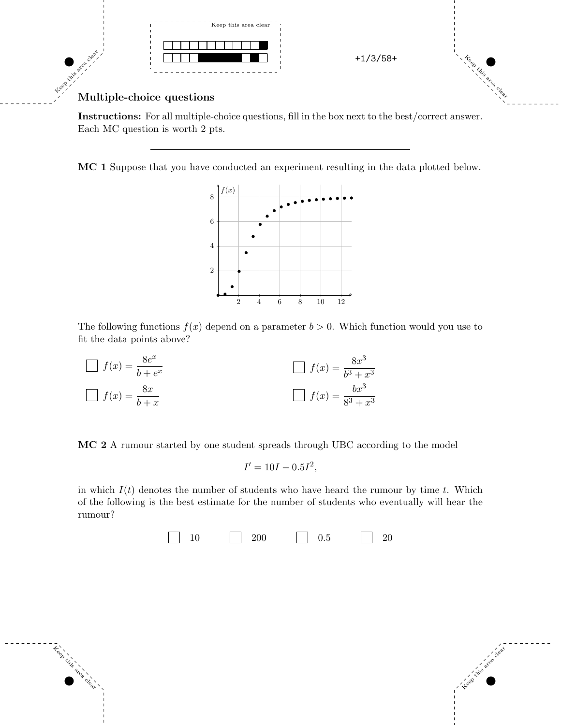

### Multiple-choice questions

Keep this

area clear.

Instructions: For all multiple-choice questions, fill in the box next to the best/correct answer. Each MC question is worth 2 pts.

MC 1 Suppose that you have conducted an experiment resulting in the data plotted below.



The following functions  $f(x)$  depend on a parameter  $b > 0$ . Which function would you use to fit the data points above?

| $\Box f(x) = \frac{8e^x}{b+e^x}$ | $\Box$ $f(x) = \frac{8x^3}{b^3 + x^3}$ |
|----------------------------------|----------------------------------------|
| $\Box f(x) = \frac{8x}{b+x}$     | $\Box$ $f(x) = \frac{bx^3}{8^3 + x^3}$ |

MC 2 A rumour started by one student spreads through UBC according to the model

$$
I' = 10I - 0.5I^2,
$$

in which  $I(t)$  denotes the number of students who have heard the rumour by time  $t$ . Which of the following is the best estimate for the number of students who eventually will hear the rumour?

 $10 \qquad \qquad \boxed{200} \qquad \qquad \boxed{0.5} \qquad \qquad \boxed{20}$ 

 $\mathcal{L}_{\mathcal{C}}(y)$  yields the set of the set of the set of the set of the set of the set of the set of the set of the set of the set of the set of the set of the set of the set of the set of the set of the set of the set o

Keep this area clear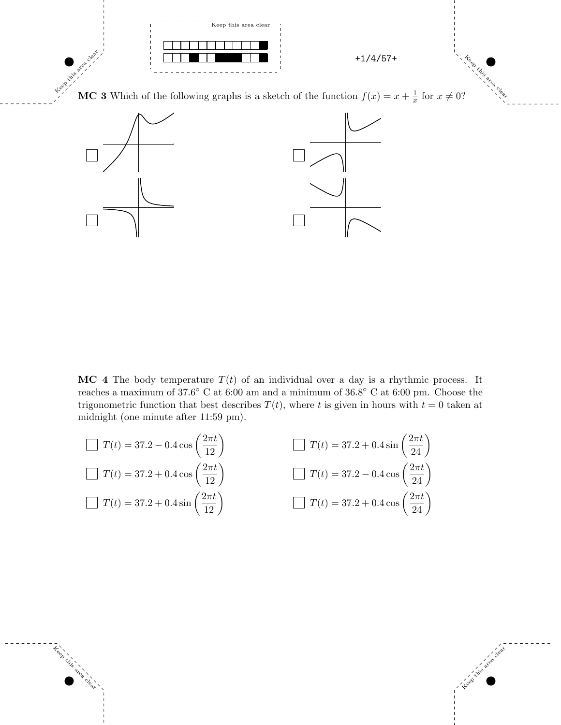

Keep take

MC 3 Which of the following graphs is a sketch of the function  $f(x) = x + \frac{1}{x}$  for  $x \neq 0$ ?



**MC** 4 The body temperature  $T(t)$  of an individual over a day is a rhythmic process. It reaches a maximum of 37.6° C at 6:00 am and a minimum of 36.8° C at 6:00 pm. Choose the trigonometric function that best describes  $T(t)$ , where *t* is given in hours with  $t = 0$  taken at midnight (one minute after 11:59 pm).

 $\mathcal{L}_{\mathcal{C}}(y)$  yields the set of the set of the set of the set of the set of the set of the set of the set of the set of the set of the set of the set of the set of the set of the set of the set of the set of the set o

$$
\Box T(t) = 37.2 - 0.4 \cos \left(\frac{2\pi t}{12}\right)
$$
\n
$$
\Box T(t) = 37.2 + 0.4 \sin \left(\frac{2\pi t}{24}\right)
$$
\n
$$
\Box T(t) = 37.2 + 0.4 \cos \left(\frac{2\pi t}{12}\right)
$$
\n
$$
\Box T(t) = 37.2 - 0.4 \cos \left(\frac{2\pi t}{24}\right)
$$
\n
$$
\Box T(t) = 37.2 + 0.4 \cos \left(\frac{2\pi t}{24}\right)
$$
\n
$$
\Box T(t) = 37.2 + 0.4 \cos \left(\frac{2\pi t}{24}\right)
$$

 $\tilde{\tau}_{e_{\infty}}^{e_{\infty}}$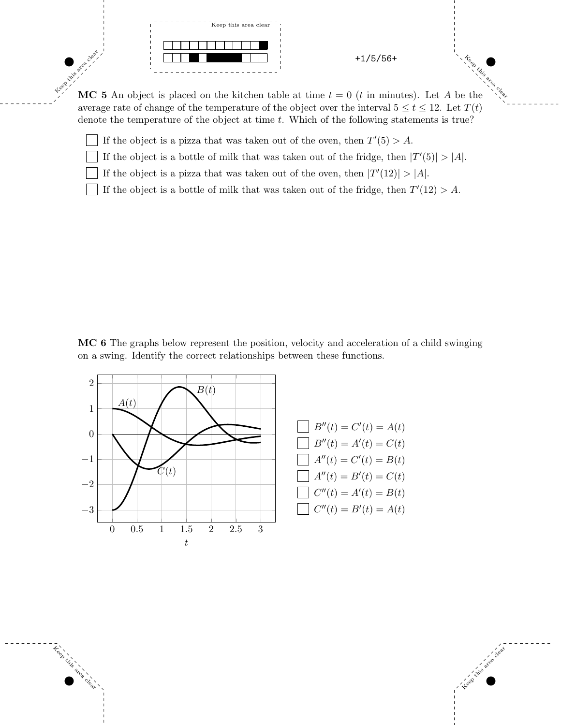

Keep this area clear

Keep this area clear. MC 5 An object is placed on the kitchen table at time  $t = 0$  (*t* in minutes). Let *A* be the average rate of change of the temperature of the object over the interval  $5 \le t \le 12$ . Let  $T(t)$ denote the temperature of the object at time *t*. Which of the following statements is true?

If the object is a pizza that was taken out of the oven, then  $T'(5) > A$ .

If the object is a bottle of milk that was taken out of the fridge, then  $|T'(5)| > |A|$ .

If the object is a pizza that was taken out of the oven, then  $|T'(12)| > |A|$ .

If the object is a bottle of milk that was taken out of the fridge, then  $T'(12) > A$ .

MC 6 The graphs below represent the position, velocity and acceleration of a child swinging on a swing. Identify the correct relationships between these functions.

 $\mathcal{L}_{\mathcal{C}}(y)$  yields the set of the set of the set of the set of the set of the set of the set of the set of the set of the set of the set of the set of the set of the set of the set of the set of the set of the set o



Keep this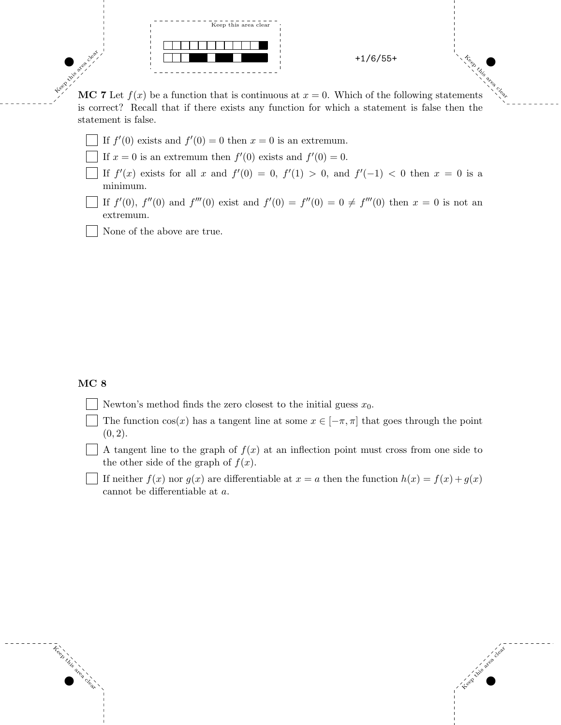

Keep this area clear

Keep this area clear. MC 7 Let  $f(x)$  be a function that is continuous at  $x = 0$ . Which of the following statements is correct? Recall that if there exists any function for which a statement is false then the statement is false.

- If  $f'(0)$  exists and  $f'(0) = 0$  then  $x = 0$  is an extremum.
- If  $x = 0$  is an extremum then  $f'(0)$  exists and  $f'(0) = 0$ .
- If  $f'(x)$  exists for all *x* and  $f'(0) = 0$ ,  $f'(1) > 0$ , and  $f'(-1) < 0$  then  $x = 0$  is a minimum.
- If  $f'(0)$ ,  $f''(0)$  and  $f'''(0)$  exist and  $f'(0) = f''(0) = 0 \neq f'''(0)$  then  $x = 0$  is not an extremum.
- None of the above are true.

#### MC<sub>8</sub>

Keep this

area clear.

- Newton's method finds the zero closest to the initial guess  $x_0$ .
- The function  $cos(x)$  has a tangent line at some  $x \in [-\pi, \pi]$  that goes through the point  $(0, 2)$ .

A tangent line to the graph of  $f(x)$  at an inflection point must cross from one side to the other side of the graph of  $f(x)$ .

If neither  $f(x)$  nor  $g(x)$  are differentiable at  $x = a$  then the function  $h(x) = f(x) + g(x)$ cannot be differentiable at a.

 $\mathcal{L}_{\mathcal{C}}(y)$  yields the set of the set of the set of the set of the set of the set of the set of the set of the set of the set of the set of the set of the set of the set of the set of the set of the set of the set o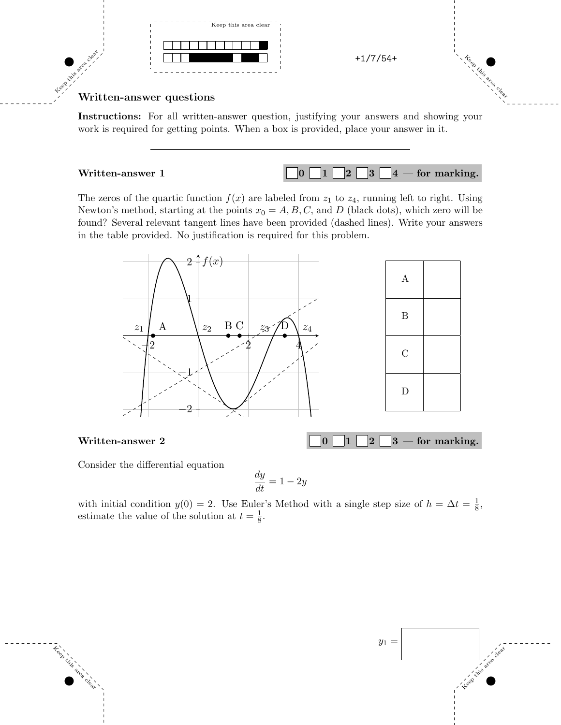



# Keep this area clear. Written-answer questions

Instructions: For all written-answer question, justifying your answers and showing your work is required for getting points. When a box is provided, place your answer in it.

Written-answer 1  $\begin{bmatrix} 0 & 1 & 2 & 3 & 4 \end{bmatrix}$   $\begin{bmatrix} 4 & -6r & \text{marking.} \end{bmatrix}$ 

The zeros of the quartic function  $f(x)$  are labeled from  $z_1$  to  $z_4$ , running left to right. Using Newton's method, starting at the points  $x_0 = A, B, C$ , and *D* (black dots), which zero will be found? Several relevant tangent lines have been provided (dashed lines). Write your answers in the table provided. No justification is required for this problem.



Consider the differential equation

Keep this

area clear.

$$
\frac{dy}{dt} = 1 - 2y
$$

with initial condition  $y(0) = 2$ . Use Euler's Method with a single step size of  $h = \Delta t = \frac{1}{8}$ , estimate the value of the solution at  $t = \frac{1}{8}$ .

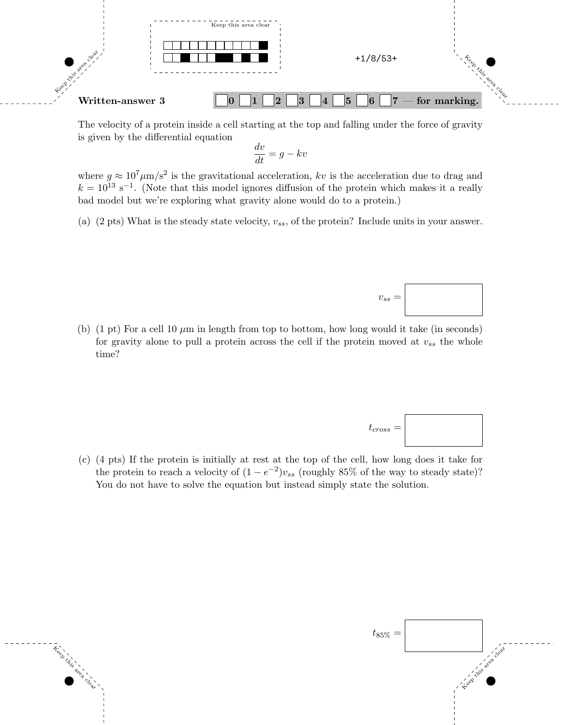

The velocity of a protein inside a cell starting at the top and falling under the force of gravity is given by the differential equation

$$
\frac{dv}{dt} = g - kv
$$

where  $g \approx 10^7 \mu m/s^2$  is the gravitational acceleration, kv is the acceleration due to drag and  $k = 10^{13} \text{ s}^{-1}$ . (Note that this model ignores diffusion of the protein which makes it a really bad model but we're exploring what gravity alone would do to a protein.)

(a) (2 pts) What is the steady state velocity, *vss*, of the protein? Include units in your answer.





 $v_{ss} =$ 

(c) (4 pts) If the protein is initially at rest at the top of the cell, how long does it take for the protein to reach a velocity of  $(1 - e^{-2})v_{ss}$  (roughly 85% of the way to steady state)? You do not have to solve the equation but instead simply state the solution.

Keep this

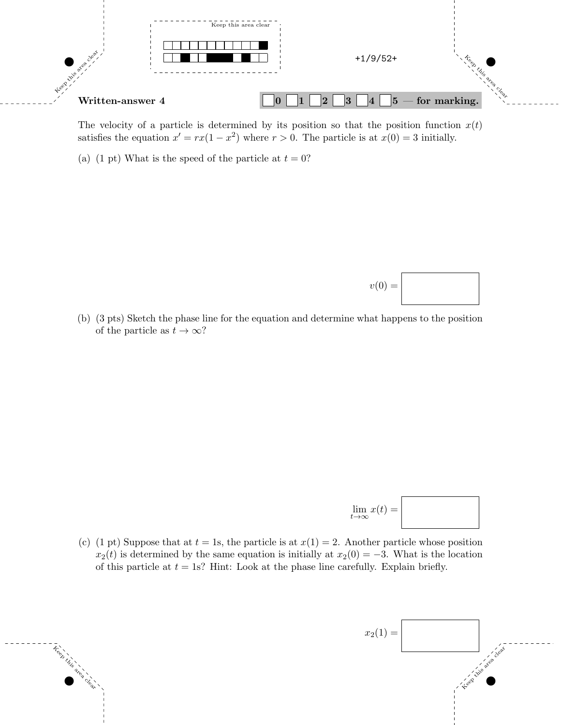

The velocity of a particle is determined by its position so that the position function  $x(t)$ satisfies the equation  $x' = rx(1 - x^2)$  where  $r > 0$ . The particle is at  $x(0) = 3$  initially.

(a) (1 pt) What is the speed of the particle at  $t = 0$ ?

Keep this

area clear.



$$
\lim_{t \to \infty} x(t) =
$$

 $v(0) =$ 

(c) (1 pt) Suppose that at  $t = 1$ s, the particle is at  $x(1) = 2$ . Another particle whose position  $x_2(t)$  is determined by the same equation is initially at  $x_2(0) = -3$ . What is the location of this particle at  $t = 1$ s? Hint: Look at the phase line carefully. Explain briefly.

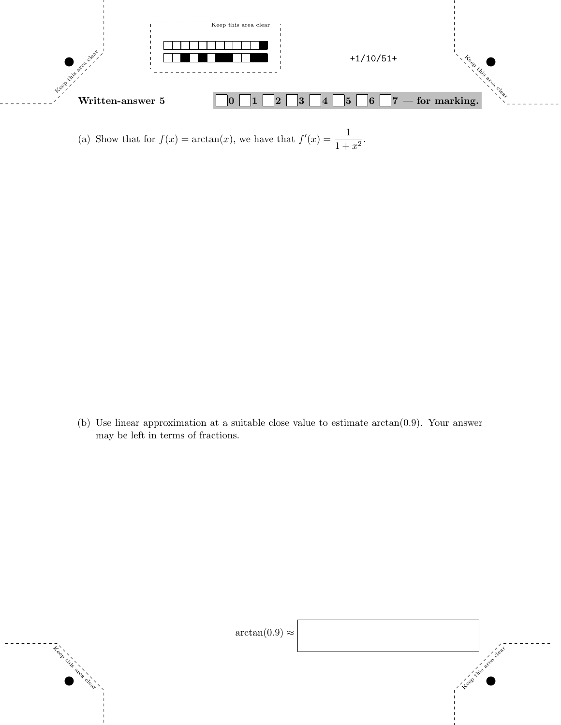

(a) Show that for  $f(x) = \arctan(x)$ , we have that  $f'(x) = \frac{1}{1 + x^2}$ .

(b) Use linear approximation at a suitable close value to estimate arctan(0*.*9). Your answer may be left in terms of fractions.

 $\tilde{\tau}_{\gamma}^{\circ\circ}$ 

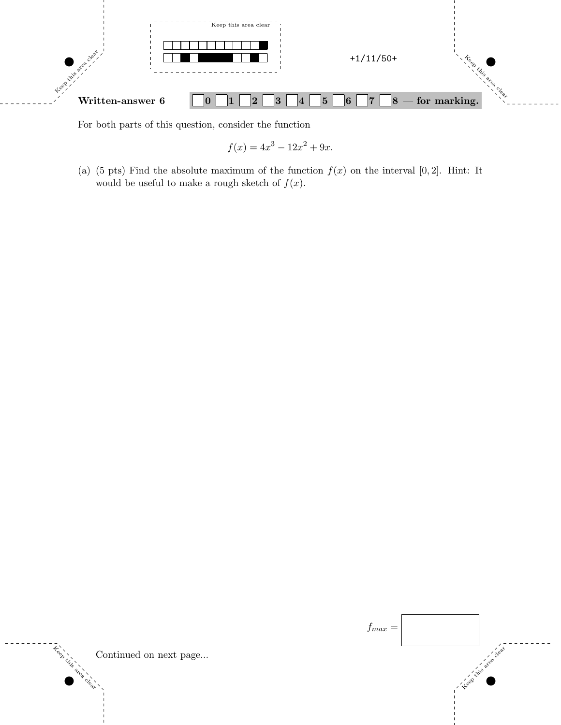

For both parts of this question, consider the function

$$
f(x) = 4x^3 - 12x^2 + 9x.
$$

(a) (5 pts) Find the absolute maximum of the function  $f(x)$  on the interval  $[0,2]$ . Hint: It would be useful to make a rough sketch of  $f(x)$ .





clear.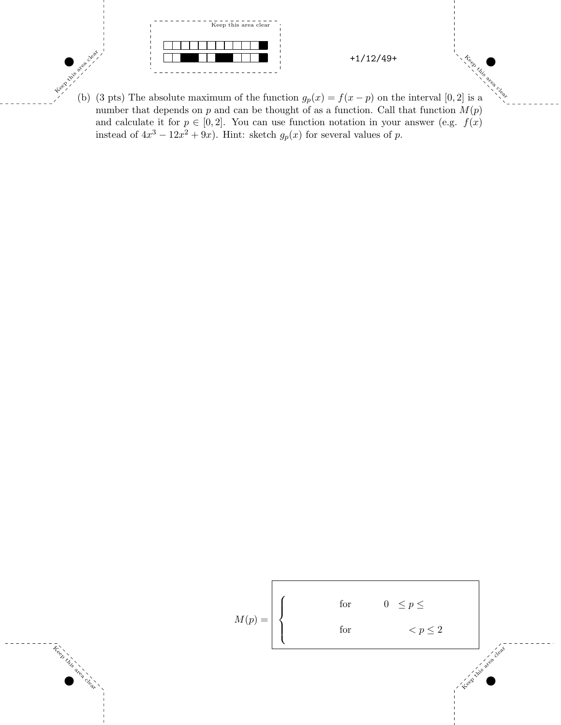

(b) (3 pts) The absolute maximum of the function  $g_p(x) = f(x - p)$  on the interval [0, 2] is a number that depends on  $p$  and can be thought of as a function. Call that function  $M(p)$ and calculate it for  $p \in [0,2]$ . You can use function notation in your answer (e.g.  $f(x)$ ) instead of  $4x^3 - 12x^2 + 9x$ . Hint: sketch  $g_p(x)$  for several values of *p*.

King area

Treet

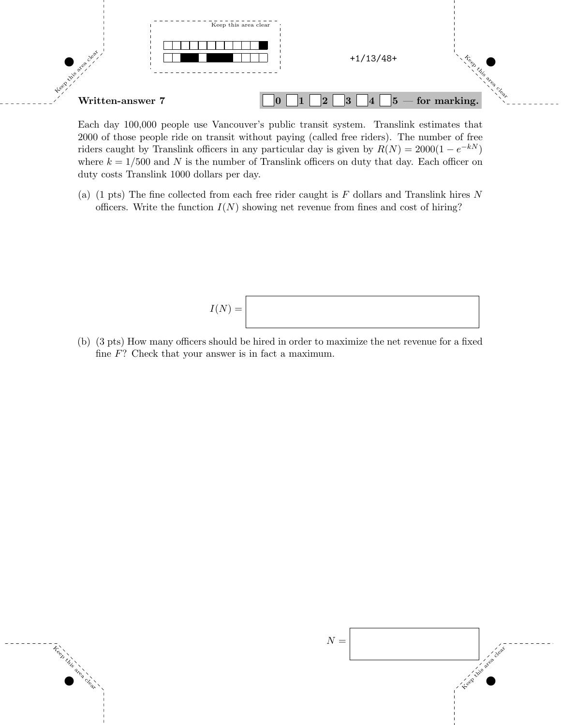

Each day 100,000 people use Vancouver's public transit system. Translink estimates that 2000 of those people ride on transit without paying (called free riders). The number of free riders caught by Translink officers in any particular day is given by  $R(N) = 2000(1 - e^{-kN})$ where  $k = 1/500$  and N is the number of Translink officers on duty that day. Each officer on duty costs Translink 1000 dollars per day.

(a) (1 pts) The fine collected from each free rider caught is *F* dollars and Translink hires *N* officers. Write the function  $I(N)$  showing net revenue from fines and cost of hiring?

$$
I(N) =
$$

(b) (3 pts) How many officers should be hired in order to maximize the net revenue for a fixed fine *F*? Check that your answer is in fact a maximum.

Keep this

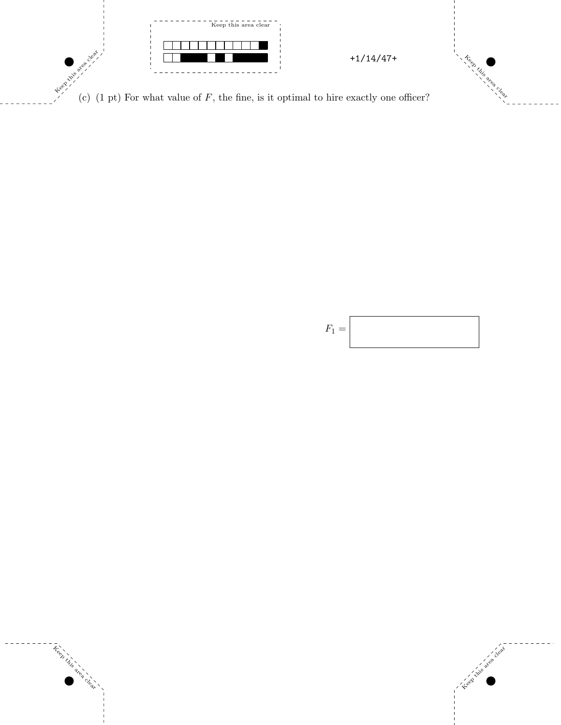

(c)  $(1 \text{ pt})$  For what value of  $F$ , the fine, is it optimal to hire exactly one officer?



Keep this area

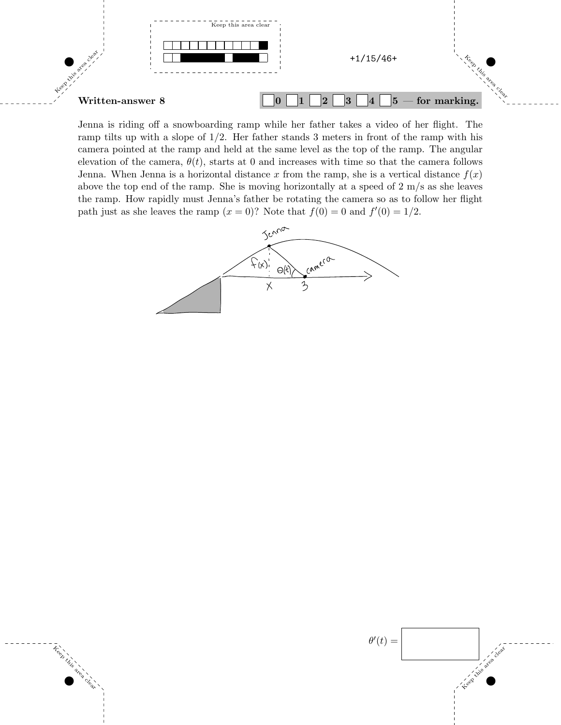

Jenna is riding off a snowboarding ramp while her father takes a video of her flight. The ramp tilts up with a slope of  $1/2$ . Her father stands 3 meters in front of the ramp with his camera pointed at the ramp and held at the same level as the top of the ramp. The angular elevation of the camera,  $\theta(t)$ , starts at 0 and increases with time so that the camera follows Jenna. When Jenna is a horizontal distance x from the ramp, she is a vertical distance  $f(x)$ above the top end of the ramp. She is moving horizontally at a speed of 2 m/s as she leaves the ramp. How rapidly must Jenna's father be rotating the camera so as to follow her flight path just as she leaves the ramp  $(x = 0)$ ? Note that  $f(0) = 0$  and  $f'(0) = 1/2$ .



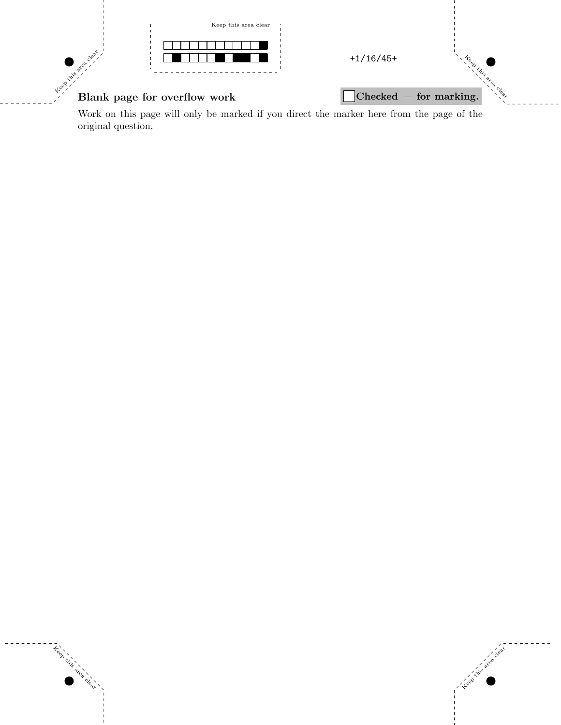

Keep this area

Work on this page will only be marked if you direct the marker here from the page of the original question.

 $\mathcal{L}_{\mathcal{C}}(y)$  yields the set of the set of the set of the set of the set of the set of the set of the set of the set of the set of the set of the set of the set of the set of the set of the set of the set of the set o

Keep this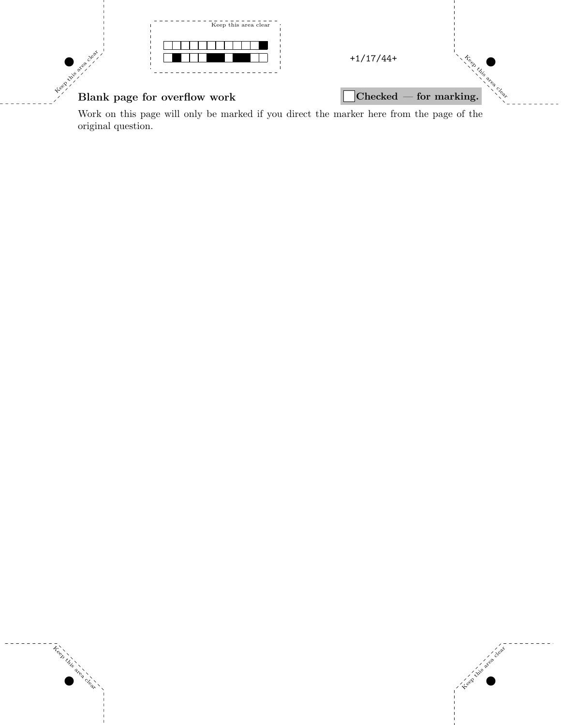

Keep this

area clear.

Keep this area

Work on this page will only be marked if you direct the marker here from the page of the original question.

 $\mathcal{L}_{\mathcal{C}}(y)$  yields the set of the set of the set of the set of the set of the set of the set of the set of the set of the set of the set of the set of the set of the set of the set of the set of the set of the set o